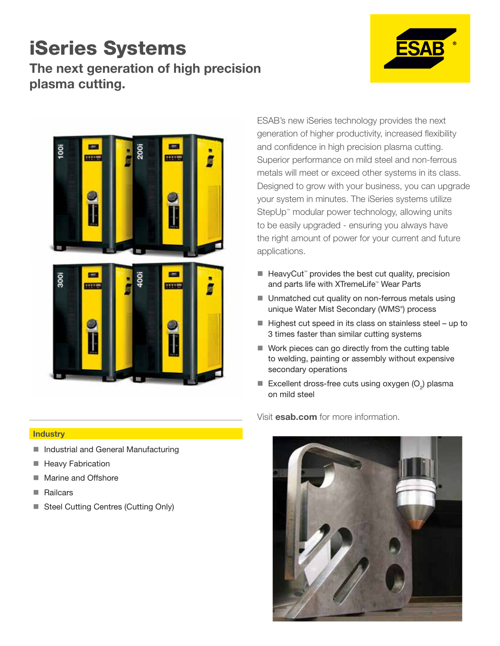#### The next generation of high precision plasma cutting. iSeries Systems





ESAB's new iSeries technology provides the next generation of higher productivity, increased flexibility and confidence in high precision plasma cutting. Superior performance on mild steel and non-ferrous metals will meet or exceed other systems in its class. Designed to grow with your business, you can upgrade your system in minutes. The iSeries systems utilize StepUp<sup>™</sup> modular power technology, allowing units to be easily upgraded - ensuring you always have the right amount of power for your current and future applications.

- HeavyCut<sup>™</sup> provides the best cut quality, precision and parts life with XTremeLife™ Wear Parts
- Unmatched cut quality on non-ferrous metals using unique Water Mist Secondary (WMS® ) process
- $\blacksquare$  Highest cut speed in its class on stainless steel up to 3 times faster than similar cutting systems
- Work pieces can go directly from the cutting table to welding, painting or assembly without expensive secondary operations
- Excellent dross-free cuts using oxygen  $(O<sub>2</sub>)$  plasma on mild steel

Visit esab.com for more information.



#### **Industry**

- **Industrial and General Manufacturing**
- **Heavy Fabrication**
- Marine and Offshore
- Railcars
- Steel Cutting Centres (Cutting Only)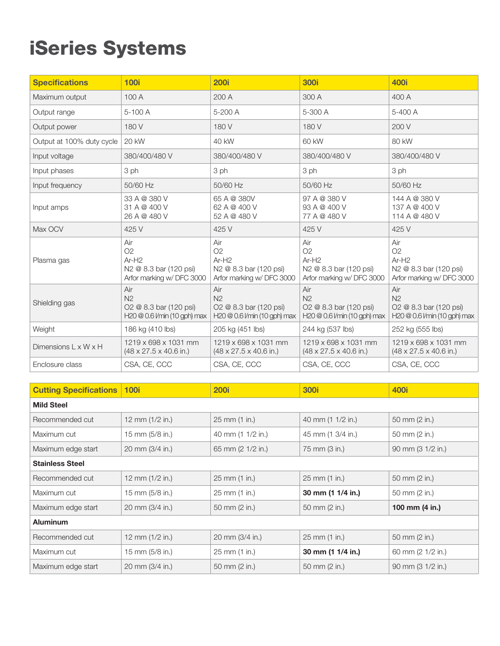## iSeries Systems

| <b>Specifications</b>            | <b>100i</b>                                                                     | <b>200i</b>                                                                             | <b>300i</b>                                                                             | <b>400i</b>                                                                            |
|----------------------------------|---------------------------------------------------------------------------------|-----------------------------------------------------------------------------------------|-----------------------------------------------------------------------------------------|----------------------------------------------------------------------------------------|
| Maximum output                   | 100 A                                                                           | 200 A                                                                                   | 300 A                                                                                   | 400 A                                                                                  |
| Output range                     | 5-100 A                                                                         | 5-200 A                                                                                 | 5-300 A                                                                                 | 5-400 A                                                                                |
| Output power                     | 180 V                                                                           | 180 V                                                                                   | 180 V                                                                                   | 200 V                                                                                  |
| Output at 100% duty cycle        | <b>20 kW</b>                                                                    | 40 kW                                                                                   | 60 kW                                                                                   | 80 kW                                                                                  |
| Input voltage                    | 380/400/480 V                                                                   | 380/400/480 V                                                                           | 380/400/480 V                                                                           | 380/400/480 V                                                                          |
| Input phases                     | 3 ph                                                                            | 3 ph                                                                                    | 3 ph                                                                                    | 3 ph                                                                                   |
| Input frequency                  | 50/60 Hz                                                                        | 50/60 Hz                                                                                | 50/60 Hz                                                                                | 50/60 Hz                                                                               |
| Input amps                       | 33 A @ 380 V<br>31 A @ 400 V<br>26 A @ 480 V                                    | 65 A @ 380V<br>62 A @ 400 V<br>52 A @ 480 V                                             | 97 A @ 380 V<br>93 A @ 400 V<br>77 A @ 480 V                                            | 144 A @ 380 V<br>137 A @ 400 V<br>114 A @ 480 V                                        |
| Max OCV                          | 425 V                                                                           | 425 V                                                                                   | 425 V                                                                                   | 425 V                                                                                  |
| Plasma gas                       | Air<br>O2<br>$Ar-H2$<br>N2 @ 8.3 bar (120 psi)<br>Arfor marking w/ DFC 3000     | Air<br>O <sub>2</sub><br>$Ar-H2$<br>N2 @ 8.3 bar (120 psi)<br>Arfor marking w/ DFC 3000 | Air<br>O <sub>2</sub><br>$Ar-H2$<br>N2 @ 8.3 bar (120 psi)<br>Arfor marking w/ DFC 3000 | Air<br>O2<br>$Ar-H2$<br>N2 @ 8.3 bar (120 psi)<br>Arfor marking w/ DFC 3000            |
| Shielding gas                    | Air<br>N <sub>2</sub><br>O2 @ 8.3 bar (120 psi)<br>H20 @ 0.6 l/min (10 gph) max | Air<br>N <sub>2</sub><br>O2 @ 8.3 bar (120 psi)<br>$H20@0.6$ <i>V</i> min (10 gph) max  | Air<br>N <sub>2</sub><br>O2 @ 8.3 bar (120 psi)<br>$H20@0.6$ <i>V</i> min (10 gph) max  | Air<br>N <sub>2</sub><br>O2 @ 8.3 bar (120 psi)<br>$H20@0.6$ <i>V</i> min (10 gph) max |
| Weight                           | 186 kg (410 lbs)                                                                | 205 kg (451 lbs)                                                                        | 244 kg (537 lbs)                                                                        | 252 kg (555 lbs)                                                                       |
| Dimensions $L \times W \times H$ | 1219 x 698 x 1031 mm<br>$(48 \times 27.5 \times 40.6 \text{ in.})$              | 1219 x 698 x 1031 mm<br>$(48 \times 27.5 \times 40.6)$ in.)                             | 1219 x 698 x 1031 mm<br>$(48 \times 27.5 \times 40.6 \text{ in.})$                      | 1219 x 698 x 1031 mm<br>$(48 \times 27.5 \times 40.6 \text{ in.})$                     |
| Enclosure class                  | CSA, CE, CCC                                                                    | CSA, CE, CCC                                                                            | CSA, CE, CCC                                                                            | CSA, CE, CCC                                                                           |

| <b>Cutting Specifications</b> | <b>100i</b>       | <b>200i</b>       | <b>300i</b>       | <b>400i</b>       |  |  |
|-------------------------------|-------------------|-------------------|-------------------|-------------------|--|--|
| <b>Mild Steel</b>             |                   |                   |                   |                   |  |  |
| Recommended cut               | 12 mm $(1/2$ in.) | 25 mm (1 in.)     | 40 mm (1 1/2 in.) | 50 mm (2 in.)     |  |  |
| Maximum cut                   | 15 mm (5/8 in.)   | 40 mm (1 1/2 in.) | 45 mm (1 3/4 in.) | 50 mm (2 in.)     |  |  |
| Maximum edge start            | 20 mm (3/4 in.)   | 65 mm (2 1/2 in.) | 75 mm (3 in.)     | 90 mm (3 1/2 in.) |  |  |
| <b>Stainless Steel</b>        |                   |                   |                   |                   |  |  |
| Recommended cut               | 12 mm $(1/2$ in.) | 25 mm (1 in.)     | 25 mm (1 in.)     | 50 mm (2 in.)     |  |  |
| Maximum cut                   | 15 mm (5/8 in.)   | 25 mm (1 in.)     | 30 mm (1 1/4 in.) | 50 mm (2 in.)     |  |  |
| Maximum edge start            | 20 mm (3/4 in.)   | 50 mm (2 in.)     | 50 mm (2 in.)     | 100 mm (4 in.)    |  |  |
| <b>Aluminum</b>               |                   |                   |                   |                   |  |  |
| Recommended cut               | 12 mm $(1/2$ in.) | 20 mm (3/4 in.)   | 25 mm (1 in.)     | 50 mm (2 in.)     |  |  |
| Maximum cut                   | 15 mm (5/8 in.)   | 25 mm (1 in.)     | 30 mm (1 1/4 in.) | 60 mm (2 1/2 in.) |  |  |
| Maximum edge start            | 20 mm (3/4 in.)   | 50 mm (2 in.)     | 50 mm (2 in.)     | 90 mm (3 1/2 in.) |  |  |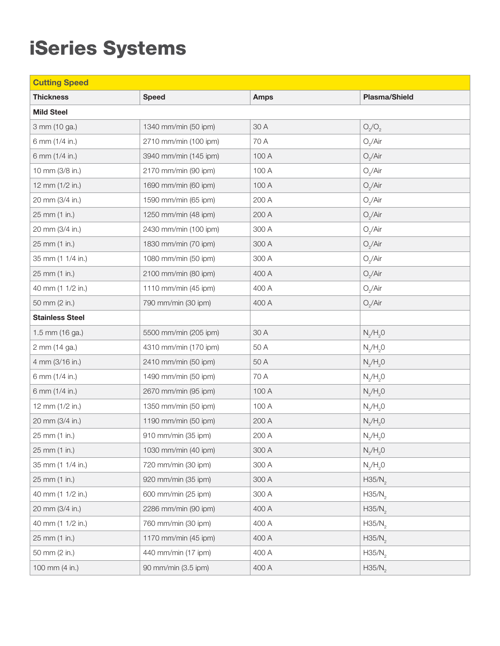## iSeries Systems

| <b>Cutting Speed</b>   |                       |             |                    |  |  |
|------------------------|-----------------------|-------------|--------------------|--|--|
| <b>Thickness</b>       | <b>Speed</b>          | <b>Amps</b> | Plasma/Shield      |  |  |
| <b>Mild Steel</b>      |                       |             |                    |  |  |
| 3 mm (10 ga.)          | 1340 mm/min (50 ipm)  | 30 A        | $O_2/O_2$          |  |  |
| 6 mm (1/4 in.)         | 2710 mm/min (100 ipm) | 70 A        | $O_2/A$ ir         |  |  |
| 6 mm (1/4 in.)         | 3940 mm/min (145 ipm) | 100 A       | $O_2/A$ ir         |  |  |
| 10 mm (3/8 in.)        | 2170 mm/min (90 ipm)  | 100 A       | $O_2/A$ ir         |  |  |
| 12 mm (1/2 in.)        | 1690 mm/min (60 ipm)  | 100 A       | $O_2/A$ ir         |  |  |
| 20 mm (3/4 in.)        | 1590 mm/min (65 ipm)  | 200 A       | $O_2/A$ ir         |  |  |
| 25 mm (1 in.)          | 1250 mm/min (48 ipm)  | 200 A       | $O_2/A$ ir         |  |  |
| 20 mm (3/4 in.)        | 2430 mm/min (100 ipm) | 300 A       | $O_2/A$ ir         |  |  |
| 25 mm (1 in.)          | 1830 mm/min (70 ipm)  | 300 A       | $O_2/A$ ir         |  |  |
| 35 mm (1 1/4 in.)      | 1080 mm/min (50 ipm)  | 300 A       | $O_2/A$ ir         |  |  |
| 25 mm (1 in.)          | 2100 mm/min (80 ipm)  | 400 A       | $O_2/A$ ir         |  |  |
| 40 mm (1 1/2 in.)      | 1110 mm/min (45 ipm)  | 400 A       | $O_2/A$ ir         |  |  |
| 50 mm (2 in.)          | 790 mm/min (30 ipm)   | 400 A       | $O_2/A$ ir         |  |  |
| <b>Stainless Steel</b> |                       |             |                    |  |  |
| 1.5 mm (16 ga.)        | 5500 mm/min (205 ipm) | 30 A        | $N_2/H_2O$         |  |  |
| 2 mm (14 ga.)          | 4310 mm/min (170 ipm) | 50 A        | $N_{2}/H_{2}O$     |  |  |
| 4 mm (3/16 in.)        | 2410 mm/min (50 ipm)  | 50 A        | $N_{2}/H_{2}O$     |  |  |
| 6 mm (1/4 in.)         | 1490 mm/min (50 ipm)  | 70 A        | $N_{2}/H_{2}O$     |  |  |
| 6 mm (1/4 in.)         | 2670 mm/min (95 ipm)  | 100 A       | $N_{2}/H_{2}O$     |  |  |
| 12 mm (1/2 in.)        | 1350 mm/min (50 ipm)  | 100 A       | $N_2/H_2O$         |  |  |
| 20 mm (3/4 in.)        | 1190 mm/min (50 ipm)  | 200 A       | $N_{2}/H_{2}O$     |  |  |
| 25 mm (1 in.)          | 910 mm/min (35 ipm)   | 200 A       | $N_2/H_2O$         |  |  |
| 25 mm (1 in.)          | 1030 mm/min (40 ipm)  | 300 A       | $N_2/H_2O$         |  |  |
| 35 mm (1 1/4 in.)      | 720 mm/min (30 ipm)   | 300 A       | $N_2/H_2O$         |  |  |
| 25 mm (1 in.)          | 920 mm/min (35 ipm)   | 300 A       | H35/N <sub>2</sub> |  |  |
| 40 mm (1 1/2 in.)      | 600 mm/min (25 ipm)   | 300 A       | H35/N <sub>2</sub> |  |  |
| 20 mm (3/4 in.)        | 2286 mm/min (90 ipm)  | 400 A       | H35/N <sub>2</sub> |  |  |
| 40 mm (1 1/2 in.)      | 760 mm/min (30 ipm)   | 400 A       | H35/N <sub>2</sub> |  |  |
| 25 mm (1 in.)          | 1170 mm/min (45 ipm)  | 400 A       | H35/N <sub>2</sub> |  |  |
| 50 mm (2 in.)          | 440 mm/min (17 ipm)   | 400 A       | H35/N <sub>2</sub> |  |  |
| 100 mm (4 in.)         | 90 mm/min (3.5 ipm)   | 400 A       | H35/N <sub>2</sub> |  |  |